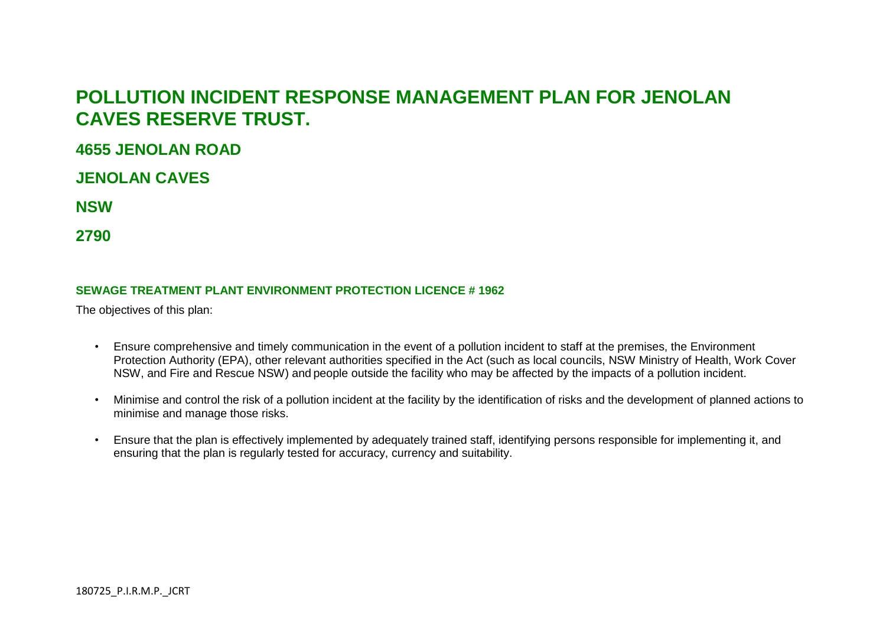# **POLLUTION INCIDENT RESPONSE MANAGEMENT PLAN FOR JENOLAN CAVES RESERVE TRUST.**

## **4655 JENOLAN ROAD**

**JENOLAN CAVES** 

**NSW** 

**2790**

#### **SEWAGE TREATMENT PLANT ENVIRONMENT PROTECTION LICENCE # 1962**

The objectives of this plan:

- Ensure comprehensive and timely communication in the event of a pollution incident to staff at the premises, the Environment Protection Authority (EPA), other relevant authorities specified in the Act (such as local councils, NSW Ministry of Health, Work Cover NSW, and Fire and Rescue NSW) and people outside the facility who may be affected by the impacts of a pollution incident.
- Minimise and control the risk of a pollution incident at the facility by the identification of risks and the development of planned actions to minimise and manage those risks.
- Ensure that the plan is effectively implemented by adequately trained staff, identifying persons responsible for implementing it, and ensuring that the plan is regularly tested for accuracy, currency and suitability.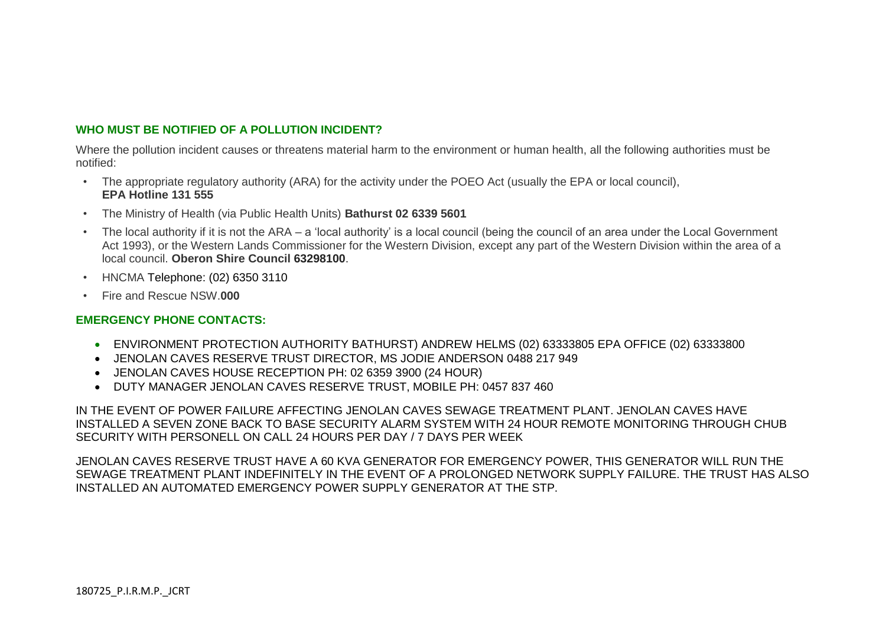### **WHO MUST BE NOTIFIED OF A POLLUTION INCIDENT?**

Where the pollution incident causes or threatens material harm to the environment or human health, all the following authorities must be notified:

- The appropriate regulatory authority (ARA) for the activity under the POEO Act (usually the EPA or local council), **EPA Hotline 131 555**
- The Ministry of Health (via Public Health Units) **Bathurst 02 6339 5601**
- The local authority if it is not the ARA a 'local authority' is a local council (being the council of an area under the Local Government Act 1993), or the Western Lands Commissioner for the Western Division, except any part of the Western Division within the area of a local council. **Oberon Shire Council 63298100**.
- HNCMA Telephone: (02) 6350 3110
- Fire and Rescue NSW.**000**

#### **EMERGENCY PHONE CONTACTS:**

- ENVIRONMENT PROTECTION AUTHORITY BATHURST) ANDREW HELMS (02) 63333805 EPA OFFICE (02) 63333800
- JENOLAN CAVES RESERVE TRUST DIRECTOR, MS JODIE ANDERSON 0488 217 949
- JENOLAN CAVES HOUSE RECEPTION PH: 02 6359 3900 (24 HOUR)
- DUTY MANAGER JENOLAN CAVES RESERVE TRUST, MOBILE PH: 0457 837 460

IN THE EVENT OF POWER FAILURE AFFECTING JENOLAN CAVES SEWAGE TREATMENT PLANT. JENOLAN CAVES HAVE INSTALLED A SEVEN ZONE BACK TO BASE SECURITY ALARM SYSTEM WITH 24 HOUR REMOTE MONITORING THROUGH CHUB SECURITY WITH PERSONELL ON CALL 24 HOURS PER DAY / 7 DAYS PER WEEK

JENOLAN CAVES RESERVE TRUST HAVE A 60 KVA GENERATOR FOR EMERGENCY POWER, THIS GENERATOR WILL RUN THE SEWAGE TREATMENT PLANT INDEFINITELY IN THE EVENT OF A PROLONGED NETWORK SUPPLY FAILURE. THE TRUST HAS ALSO INSTALLED AN AUTOMATED EMERGENCY POWER SUPPLY GENERATOR AT THE STP.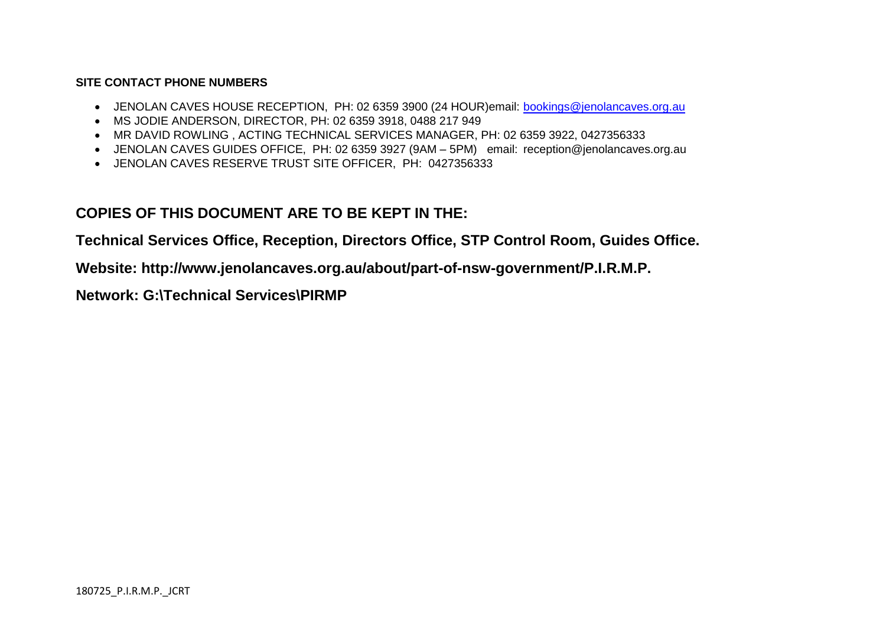#### **SITE CONTACT PHONE NUMBERS**

- JENOLAN CAVES HOUSE RECEPTION, PH: 02 6359 3900 (24 HOUR)email: [bookings@jenolancaves.org.au](mailto:bookings@jenolancaves.org.au)
- MS JODIE ANDERSON, DIRECTOR, PH: 02 6359 3918, 0488 217 949
- MR DAVID ROWLING , ACTING TECHNICAL SERVICES MANAGER, PH: 02 6359 3922, 0427356333
- JENOLAN CAVES GUIDES OFFICE, PH: 02 6359 3927 (9AM 5PM) email: reception@jenolancaves.org.au
- JENOLAN CAVES RESERVE TRUST SITE OFFICER, PH: 0427356333

## **COPIES OF THIS DOCUMENT ARE TO BE KEPT IN THE:**

**Technical Services Office, Reception, Directors Office, STP Control Room, Guides Office.** 

**Website: http://www.jenolancaves.org.au/about/part-of-nsw-government/P.I.R.M.P.**

**Network: G:\Technical Services\PIRMP**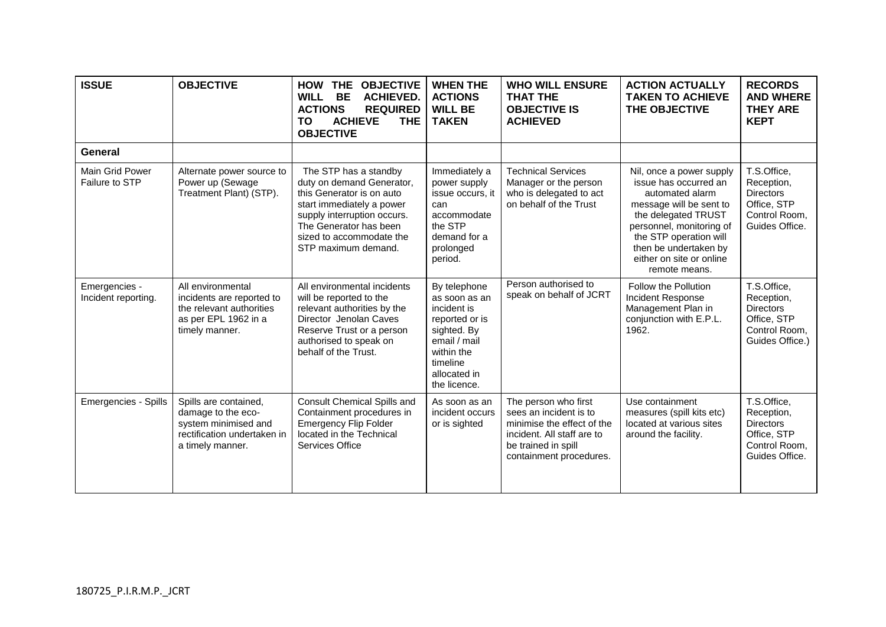| <b>ISSUE</b>                         | <b>OBJECTIVE</b>                                                                                                       | <b>OBJECTIVE</b><br><b>HOW</b><br><b>THE</b><br><b>WILL</b><br><b>BE</b><br><b>ACHIEVED.</b><br><b>ACTIONS</b><br><b>REQUIRED</b><br><b>ACHIEVE</b><br><b>THE</b><br>ΤO<br><b>OBJECTIVE</b>                              | <b>WHEN THE</b><br><b>ACTIONS</b><br><b>WILL BE</b><br><b>TAKEN</b>                                                                                     | <b>WHO WILL ENSURE</b><br><b>THAT THE</b><br><b>OBJECTIVE IS</b><br><b>ACHIEVED</b>                                                                          | <b>ACTION ACTUALLY</b><br><b>TAKEN TO ACHIEVE</b><br>THE OBJECTIVE                                                                                                                                                                                 | <b>RECORDS</b><br><b>AND WHERE</b><br><b>THEY ARE</b><br><b>KEPT</b>                             |
|--------------------------------------|------------------------------------------------------------------------------------------------------------------------|--------------------------------------------------------------------------------------------------------------------------------------------------------------------------------------------------------------------------|---------------------------------------------------------------------------------------------------------------------------------------------------------|--------------------------------------------------------------------------------------------------------------------------------------------------------------|----------------------------------------------------------------------------------------------------------------------------------------------------------------------------------------------------------------------------------------------------|--------------------------------------------------------------------------------------------------|
| General                              |                                                                                                                        |                                                                                                                                                                                                                          |                                                                                                                                                         |                                                                                                                                                              |                                                                                                                                                                                                                                                    |                                                                                                  |
| Main Grid Power<br>Failure to STP    | Alternate power source to<br>Power up (Sewage<br>Treatment Plant) (STP).                                               | The STP has a standby<br>duty on demand Generator,<br>this Generator is on auto<br>start immediately a power<br>supply interruption occurs.<br>The Generator has been<br>sized to accommodate the<br>STP maximum demand. | Immediately a<br>power supply<br>issue occurs, it<br>can<br>accommodate<br>the STP<br>demand for a<br>prolonged<br>period.                              | <b>Technical Services</b><br>Manager or the person<br>who is delegated to act<br>on behalf of the Trust                                                      | Nil, once a power supply<br>issue has occurred an<br>automated alarm<br>message will be sent to<br>the delegated TRUST<br>personnel, monitoring of<br>the STP operation will<br>then be undertaken by<br>either on site or online<br>remote means. | T.S.Office,<br>Reception,<br><b>Directors</b><br>Office, STP<br>Control Room,<br>Guides Office.  |
| Emergencies -<br>Incident reporting. | All environmental<br>incidents are reported to<br>the relevant authorities<br>as per EPL 1962 in a<br>timely manner.   | All environmental incidents<br>will be reported to the<br>relevant authorities by the<br>Director Jenolan Caves<br>Reserve Trust or a person<br>authorised to speak on<br>behalf of the Trust.                           | By telephone<br>as soon as an<br>incident is<br>reported or is<br>sighted. By<br>email / mail<br>within the<br>timeline<br>allocated in<br>the licence. | Person authorised to<br>speak on behalf of JCRT                                                                                                              | Follow the Pollution<br>Incident Response<br>Management Plan in<br>conjunction with E.P.L.<br>1962.                                                                                                                                                | T.S.Office,<br>Reception,<br><b>Directors</b><br>Office, STP<br>Control Room.<br>Guides Office.) |
| Emergencies - Spills                 | Spills are contained,<br>damage to the eco-<br>system minimised and<br>rectification undertaken in<br>a timely manner. | <b>Consult Chemical Spills and</b><br>Containment procedures in<br><b>Emergency Flip Folder</b><br>located in the Technical<br>Services Office                                                                           | As soon as an<br>incident occurs<br>or is sighted                                                                                                       | The person who first<br>sees an incident is to<br>minimise the effect of the<br>incident. All staff are to<br>be trained in spill<br>containment procedures. | Use containment<br>measures (spill kits etc)<br>located at various sites<br>around the facility.                                                                                                                                                   | T.S.Office,<br>Reception,<br><b>Directors</b><br>Office, STP<br>Control Room,<br>Guides Office.  |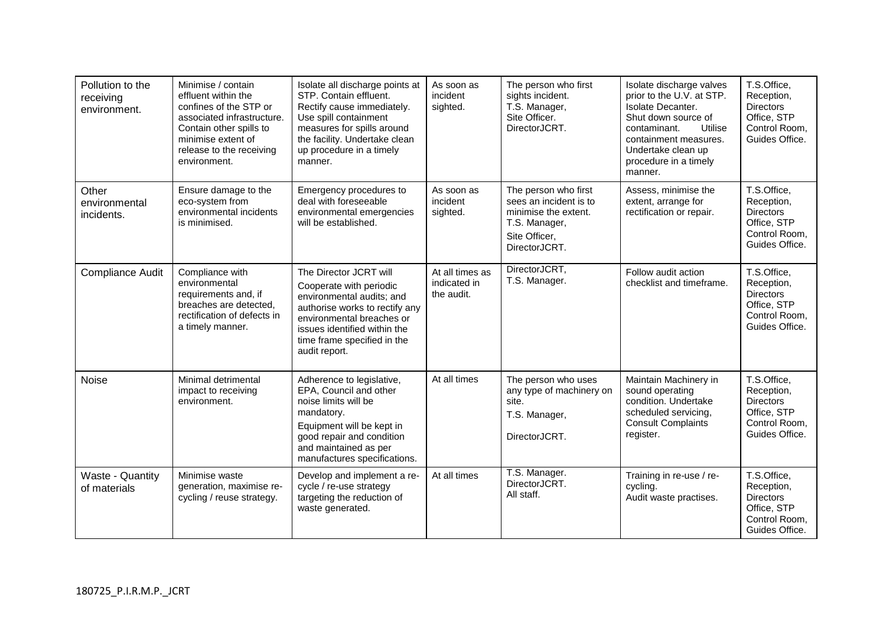| Pollution to the<br>receiving<br>environment. | Minimise / contain<br>effluent within the<br>confines of the STP or<br>associated infrastructure.<br>Contain other spills to<br>minimise extent of<br>release to the receiving<br>environment. | Isolate all discharge points at<br>STP. Contain effluent.<br>Rectify cause immediately.<br>Use spill containment<br>measures for spills around<br>the facility. Undertake clean<br>up procedure in a timely<br>manner.        | As soon as<br>incident<br>sighted.            | The person who first<br>sights incident.<br>T.S. Manager,<br>Site Officer.<br>DirectorJCRT.                               | Isolate discharge valves<br>prior to the U.V. at STP.<br>Isolate Decanter.<br>Shut down source of<br>Utilise<br>contaminant.<br>containment measures.<br>Undertake clean up<br>procedure in a timely<br>manner. | T.S.Office,<br>Reception,<br><b>Directors</b><br>Office, STP<br>Control Room,<br>Guides Office. |
|-----------------------------------------------|------------------------------------------------------------------------------------------------------------------------------------------------------------------------------------------------|-------------------------------------------------------------------------------------------------------------------------------------------------------------------------------------------------------------------------------|-----------------------------------------------|---------------------------------------------------------------------------------------------------------------------------|-----------------------------------------------------------------------------------------------------------------------------------------------------------------------------------------------------------------|-------------------------------------------------------------------------------------------------|
| Other<br>environmental<br>incidents.          | Ensure damage to the<br>eco-system from<br>environmental incidents<br>is minimised.                                                                                                            | Emergency procedures to<br>deal with foreseeable<br>environmental emergencies<br>will be established.                                                                                                                         | As soon as<br>incident<br>sighted.            | The person who first<br>sees an incident is to<br>minimise the extent.<br>T.S. Manager,<br>Site Officer,<br>DirectorJCRT. | Assess, minimise the<br>extent, arrange for<br>rectification or repair.                                                                                                                                         | T.S.Office,<br>Reception,<br><b>Directors</b><br>Office, STP<br>Control Room,<br>Guides Office. |
| Compliance Audit                              | Compliance with<br>environmental<br>requirements and, if<br>breaches are detected,<br>rectification of defects in<br>a timely manner.                                                          | The Director JCRT will<br>Cooperate with periodic<br>environmental audits; and<br>authorise works to rectify any<br>environmental breaches or<br>issues identified within the<br>time frame specified in the<br>audit report. | At all times as<br>indicated in<br>the audit. | DirectorJCRT.<br>T.S. Manager.                                                                                            | Follow audit action<br>checklist and timeframe.                                                                                                                                                                 | T.S.Office,<br>Reception,<br><b>Directors</b><br>Office, STP<br>Control Room,<br>Guides Office. |
| <b>Noise</b>                                  | Minimal detrimental<br>impact to receiving<br>environment.                                                                                                                                     | Adherence to legislative,<br>EPA, Council and other<br>noise limits will be<br>mandatory.<br>Equipment will be kept in<br>good repair and condition<br>and maintained as per<br>manufactures specifications.                  | At all times                                  | The person who uses<br>any type of machinery on<br>site.<br>T.S. Manager,<br>DirectorJCRT.                                | Maintain Machinery in<br>sound operating<br>condition. Undertake<br>scheduled servicing,<br><b>Consult Complaints</b><br>register.                                                                              | T.S.Office,<br>Reception,<br><b>Directors</b><br>Office, STP<br>Control Room,<br>Guides Office. |
| Waste - Quantity<br>of materials              | Minimise waste<br>generation, maximise re-<br>cycling / reuse strategy.                                                                                                                        | Develop and implement a re-<br>cycle / re-use strategy<br>targeting the reduction of<br>waste generated.                                                                                                                      | At all times                                  | T.S. Manager.<br>DirectorJCRT.<br>All staff.                                                                              | Training in re-use / re-<br>cycling.<br>Audit waste practises.                                                                                                                                                  | T.S.Office,<br>Reception,<br><b>Directors</b><br>Office, STP<br>Control Room.<br>Guides Office. |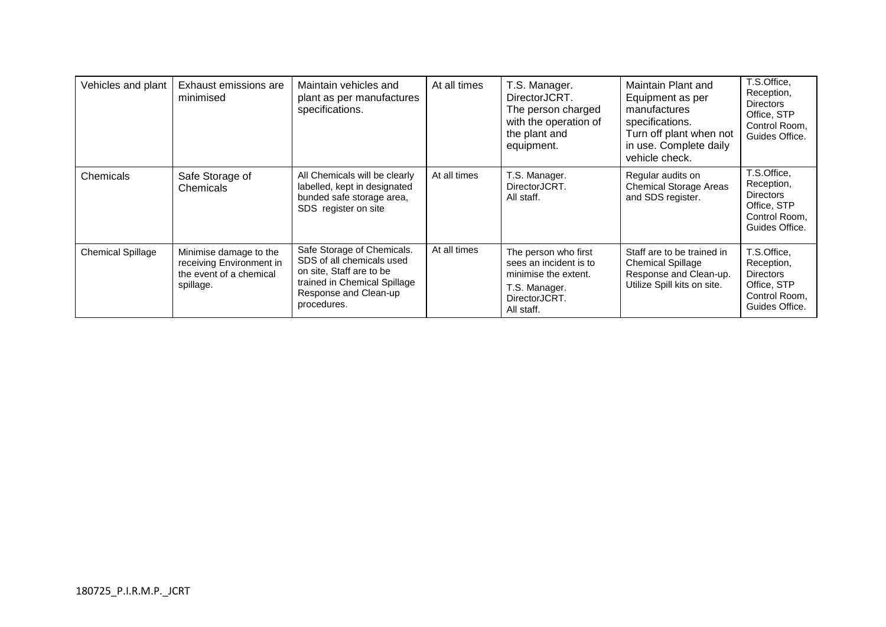| Vehicles and plant       | Exhaust emissions are<br>minimised                                                         | Maintain vehicles and<br>plant as per manufactures<br>specifications.                                                                                       | At all times | T.S. Manager.<br>DirectorJCRT.<br>The person charged<br>with the operation of<br>the plant and<br>equipment.           | Maintain Plant and<br>Equipment as per<br>manufactures<br>specifications.<br>Turn off plant when not<br>in use. Complete daily<br>vehicle check. | T.S.Office,<br>Reception,<br><b>Directors</b><br>Office, STP<br>Control Room.<br>Guides Office. |
|--------------------------|--------------------------------------------------------------------------------------------|-------------------------------------------------------------------------------------------------------------------------------------------------------------|--------------|------------------------------------------------------------------------------------------------------------------------|--------------------------------------------------------------------------------------------------------------------------------------------------|-------------------------------------------------------------------------------------------------|
| Chemicals                | Safe Storage of<br>Chemicals                                                               | All Chemicals will be clearly<br>labelled, kept in designated<br>bunded safe storage area,<br>SDS register on site                                          | At all times | T.S. Manager.<br>DirectorJCRT.<br>All staff.                                                                           | Regular audits on<br><b>Chemical Storage Areas</b><br>and SDS register.                                                                          | T.S.Office,<br>Reception,<br><b>Directors</b><br>Office, STP<br>Control Room.<br>Guides Office. |
| <b>Chemical Spillage</b> | Minimise damage to the<br>receiving Environment in<br>the event of a chemical<br>spillage. | Safe Storage of Chemicals.<br>SDS of all chemicals used<br>on site, Staff are to be<br>trained in Chemical Spillage<br>Response and Clean-up<br>procedures. | At all times | The person who first<br>sees an incident is to<br>minimise the extent.<br>T.S. Manager.<br>DirectorJCRT.<br>All staff. | Staff are to be trained in<br><b>Chemical Spillage</b><br>Response and Clean-up.<br>Utilize Spill kits on site.                                  | T.S.Office,<br>Reception,<br><b>Directors</b><br>Office, STP<br>Control Room,<br>Guides Office. |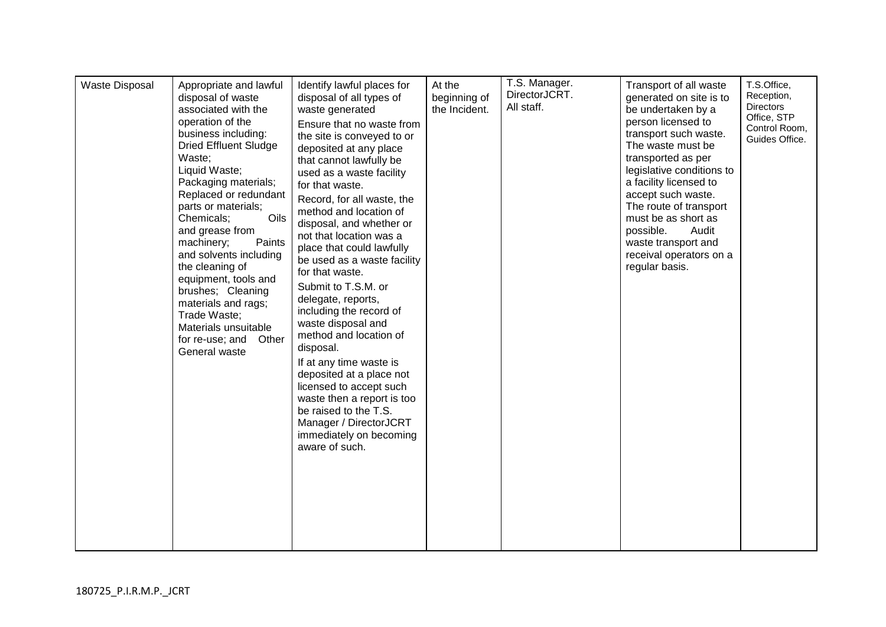| Waste Disposal | Appropriate and lawful<br>disposal of waste<br>associated with the<br>operation of the<br>business including:<br><b>Dried Effluent Sludge</b><br>Waste;<br>Liquid Waste;<br>Packaging materials;<br>Replaced or redundant<br>parts or materials;<br>Oils<br>Chemicals;<br>and grease from<br>machinery;<br>Paints<br>and solvents including<br>the cleaning of<br>equipment, tools and<br>brushes; Cleaning<br>materials and rags;<br>Trade Waste;<br>Materials unsuitable<br>for re-use; and Other<br>General waste | Identify lawful places for<br>disposal of all types of<br>waste generated<br>Ensure that no waste from<br>the site is conveyed to or<br>deposited at any place<br>that cannot lawfully be<br>used as a waste facility<br>for that waste.<br>Record, for all waste, the<br>method and location of<br>disposal, and whether or<br>not that location was a<br>place that could lawfully<br>be used as a waste facility<br>for that waste.<br>Submit to T.S.M. or<br>delegate, reports,<br>including the record of<br>waste disposal and<br>method and location of<br>disposal.<br>If at any time waste is<br>deposited at a place not<br>licensed to accept such<br>waste then a report is too<br>be raised to the T.S.<br>Manager / DirectorJCRT<br>immediately on becoming<br>aware of such. | At the<br>beginning of<br>the Incident. | T.S. Manager.<br>DirectorJCRT.<br>All staff. | Transport of all waste<br>generated on site is to<br>be undertaken by a<br>person licensed to<br>transport such waste.<br>The waste must be<br>transported as per<br>legislative conditions to<br>a facility licensed to<br>accept such waste.<br>The route of transport<br>must be as short as<br>possible.<br>Audit<br>waste transport and<br>receival operators on a<br>regular basis. | T.S.Office,<br>Reception,<br><b>Directors</b><br>Office, STP<br>Control Room,<br>Guides Office. |
|----------------|----------------------------------------------------------------------------------------------------------------------------------------------------------------------------------------------------------------------------------------------------------------------------------------------------------------------------------------------------------------------------------------------------------------------------------------------------------------------------------------------------------------------|---------------------------------------------------------------------------------------------------------------------------------------------------------------------------------------------------------------------------------------------------------------------------------------------------------------------------------------------------------------------------------------------------------------------------------------------------------------------------------------------------------------------------------------------------------------------------------------------------------------------------------------------------------------------------------------------------------------------------------------------------------------------------------------------|-----------------------------------------|----------------------------------------------|-------------------------------------------------------------------------------------------------------------------------------------------------------------------------------------------------------------------------------------------------------------------------------------------------------------------------------------------------------------------------------------------|-------------------------------------------------------------------------------------------------|
|----------------|----------------------------------------------------------------------------------------------------------------------------------------------------------------------------------------------------------------------------------------------------------------------------------------------------------------------------------------------------------------------------------------------------------------------------------------------------------------------------------------------------------------------|---------------------------------------------------------------------------------------------------------------------------------------------------------------------------------------------------------------------------------------------------------------------------------------------------------------------------------------------------------------------------------------------------------------------------------------------------------------------------------------------------------------------------------------------------------------------------------------------------------------------------------------------------------------------------------------------------------------------------------------------------------------------------------------------|-----------------------------------------|----------------------------------------------|-------------------------------------------------------------------------------------------------------------------------------------------------------------------------------------------------------------------------------------------------------------------------------------------------------------------------------------------------------------------------------------------|-------------------------------------------------------------------------------------------------|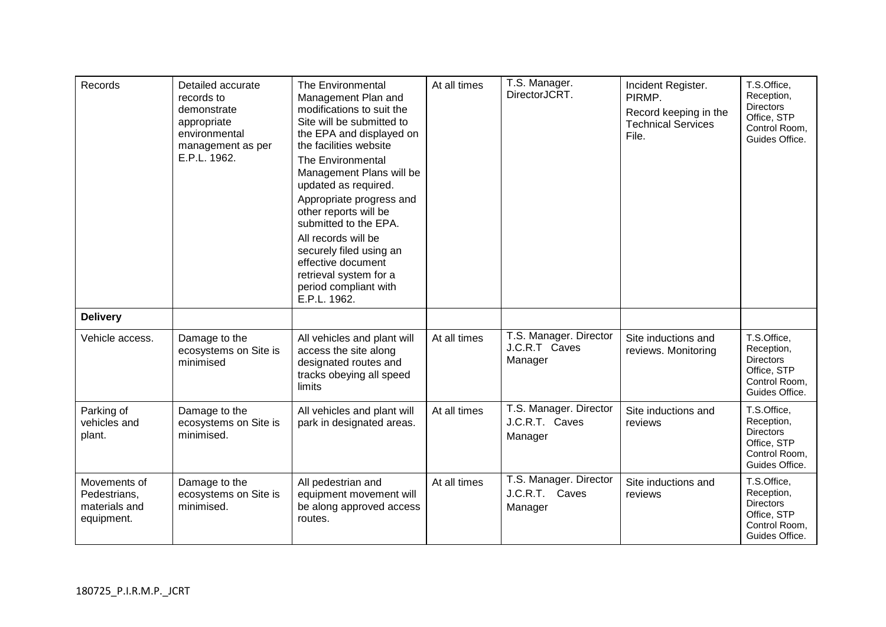| Records                                                     | Detailed accurate<br>records to<br>demonstrate<br>appropriate<br>environmental<br>management as per<br>E.P.L. 1962. | The Environmental<br>Management Plan and<br>modifications to suit the<br>Site will be submitted to<br>the EPA and displayed on<br>the facilities website<br>The Environmental<br>Management Plans will be<br>updated as required.<br>Appropriate progress and<br>other reports will be<br>submitted to the EPA.<br>All records will be<br>securely filed using an<br>effective document<br>retrieval system for a<br>period compliant with<br>E.P.L. 1962. | At all times | T.S. Manager.<br>DirectorJCRT.                      | Incident Register.<br>PIRMP.<br>Record keeping in the<br><b>Technical Services</b><br>File. | T.S.Office,<br>Reception,<br><b>Directors</b><br>Office, STP<br>Control Room,<br>Guides Office. |
|-------------------------------------------------------------|---------------------------------------------------------------------------------------------------------------------|------------------------------------------------------------------------------------------------------------------------------------------------------------------------------------------------------------------------------------------------------------------------------------------------------------------------------------------------------------------------------------------------------------------------------------------------------------|--------------|-----------------------------------------------------|---------------------------------------------------------------------------------------------|-------------------------------------------------------------------------------------------------|
| <b>Delivery</b>                                             |                                                                                                                     |                                                                                                                                                                                                                                                                                                                                                                                                                                                            |              |                                                     |                                                                                             |                                                                                                 |
| Vehicle access.                                             | Damage to the<br>ecosystems on Site is<br>minimised                                                                 | All vehicles and plant will<br>access the site along<br>designated routes and<br>tracks obeying all speed<br>limits                                                                                                                                                                                                                                                                                                                                        | At all times | T.S. Manager. Director<br>J.C.R.T Caves<br>Manager  | Site inductions and<br>reviews. Monitoring                                                  | T.S.Office,<br>Reception,<br><b>Directors</b><br>Office, STP<br>Control Room,<br>Guides Office. |
| Parking of<br>vehicles and<br>plant.                        | Damage to the<br>ecosystems on Site is<br>minimised.                                                                | All vehicles and plant will<br>park in designated areas.                                                                                                                                                                                                                                                                                                                                                                                                   | At all times | T.S. Manager. Director<br>J.C.R.T. Caves<br>Manager | Site inductions and<br>reviews                                                              | T.S.Office,<br>Reception,<br><b>Directors</b><br>Office, STP<br>Control Room,<br>Guides Office. |
| Movements of<br>Pedestrians,<br>materials and<br>equipment. | Damage to the<br>ecosystems on Site is<br>minimised.                                                                | All pedestrian and<br>equipment movement will<br>be along approved access<br>routes.                                                                                                                                                                                                                                                                                                                                                                       | At all times | T.S. Manager. Director<br>J.C.R.T. Caves<br>Manager | Site inductions and<br>reviews                                                              | T.S.Office,<br>Reception,<br><b>Directors</b><br>Office, STP<br>Control Room,<br>Guides Office. |